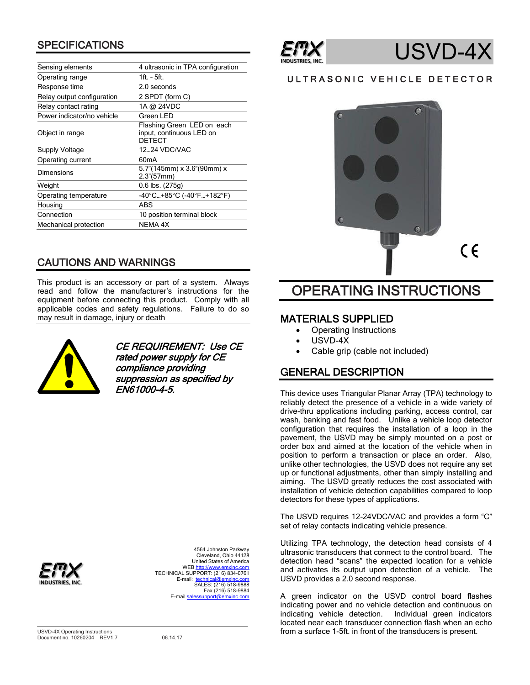# **SPECIFICATIONS**

| 4 ultrasonic in TPA configuration                                       |
|-------------------------------------------------------------------------|
| $1ft - 5ft$                                                             |
| 2.0 seconds                                                             |
| 2 SPDT (form C)                                                         |
| 1A @ 24VDC                                                              |
| Green LED                                                               |
| Flashing Green LED on each<br>input, continuous LED on<br><b>DETECT</b> |
| 12.24 VDC/VAC                                                           |
| 60 <sub>m</sub> A                                                       |
| 5.7"(145mm) x 3.6"(90mm) x<br>$2.3$ "(57mm)                             |
| 0.6 lbs. (275g)                                                         |
| -40°C+85°C (-40°F+182°F)                                                |
| ABS                                                                     |
| 10 position terminal block                                              |
| <b>NEMA 4X</b>                                                          |
|                                                                         |

# CAUTIONS AND WARNINGS

This product is an accessory or part of a system. Always read and follow the manufacturer's instructions for the equipment before connecting this product. Comply with all applicable codes and safety regulations. Failure to do so may result in damage, injury or death



CE REQUIREMENT: Use CE rated power supply for CE compliance providing suppression as specified by EN61000-4-5.



4564 Johnston Parkway Cleveland, Ohio 44128 United States of America WE[B http://www.emxinc.com](http://www.emxinc.com/) TECHNICAL SUPPORT: (216) 834-0761 E-mail: [technical@emxinc.com](mailto:technical@emxinc.com)<br>SALES: (216) 518-9888 Fax (216) 518-9884 E-mail sales



# USVD-4

# ULTRASONIC VEHICLE DETECTOR



# OPERATING INSTRUCTIONS

# MATERIALS SUPPLIED

- Operating Instructions
- USVD-4X
- Cable grip (cable not included)

# GENERAL DESCRIPTION

This device uses Triangular Planar Array (TPA) technology to reliably detect the presence of a vehicle in a wide variety of drive-thru applications including parking, access control, car wash, banking and fast food. Unlike a vehicle loop detector configuration that requires the installation of a loop in the pavement, the USVD may be simply mounted on a post or order box and aimed at the location of the vehicle when in position to perform a transaction or place an order. Also, unlike other technologies, the USVD does not require any set up or functional adjustments, other than simply installing and aiming. The USVD greatly reduces the cost associated with installation of vehicle detection capabilities compared to loop detectors for these types of applications.

The USVD requires 12-24VDC/VAC and provides a form "C" set of relay contacts indicating vehicle presence.

Utilizing TPA technology, the detection head consists of 4 ultrasonic transducers that connect to the control board. The detection head "scans" the expected location for a vehicle and activates its output upon detection of a vehicle. The USVD provides a 2.0 second response.

A green indicator on the USVD control board flashes indicating power and no vehicle detection and continuous on indicating vehicle detection. Individual green indicators located near each transducer connection flash when an echo from a surface 1-5ft. in front of the transducers is present.